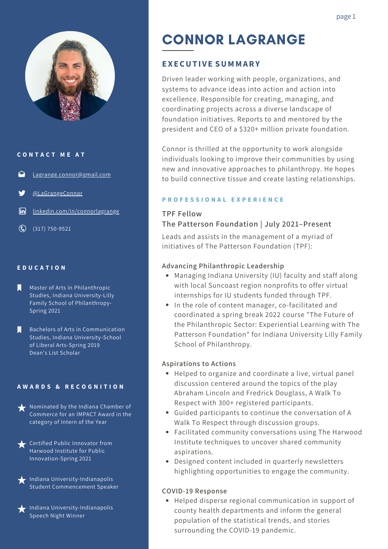

#### **C O N T A C T M E A T**

- [Lagrange.connor@gmail.com](mailto:Lagrange.connor@gmail.com)
- [@LaGrangeConnor](https://twitter.com/LagrangeConnor)
- $\sqrt{2}$ [linkedin.com/in/connorlagrange](https://www.linkedin.com/in/connorlagrange/)
- $\bigodot$  (317) 750-9521

#### **E D U C A T I O N**

- Master of Arts in Philanthropic Studies, Indiana University-Lilly Family School of Philanthropy-Spring 2021
- Bachelors of Arts in Communication Studies, Indiana University-School of Liberal Arts-Spring 2019 Dean's List Scholar

#### **A W A R D S & R E C O G N I T I O N**

- Nominated by the Indiana Chamber of Commerce for an IMPACT Award in the category of Intern of the Year
- Certified Public Innovator from Harwood Institute for Public Innovation-Spring 2021
- $\blacktriangle$  Indiana University-Indianapolis Student Commencement Speaker
- $\blacktriangleright$  Indiana University-Indianapolis Speech Night Winner

# CONNOR LAGRANGE

## **EXECUT I V E SUMMARY**

Driven leader working with people, organizations, and systems to advance ideas into action and action into excellence. Responsible for creating, managing, and coordinating projects across a diverse landscape of foundation initiatives. Reports to and mentored by the president and CEO of a \$320+ million private foundation.

Connor is thrilled at the opportunity to work alongside individuals looking to improve their communities by using new and innovative approaches to philanthropy. He hopes to build connective tissue and create lasting relationships.

#### **P R O F E S S I O N A L E X P E R I E N C E**

# **TPF Fellow The Patterson Foundation | July 2021–Present**

Leads and assists in the management of a myriad of initiatives of The Patterson Foundation (TPF):

#### **Advancing Philanthropic Leadership**

- Managing Indiana University (IU) faculty and staff along with local Suncoast region nonprofits to offer virtual internships for IU students funded through TPF.
- In the role of content manager, co-facilitated and coordinated a spring break 2022 course "The Future of the Philanthropic Sector: Experiential Learning with The Patterson Foundation" for Indiana University Lilly Family School of Philanthropy.

#### **Aspirations to Actions**

- Helped to organize and coordinate a live, virtual panel discussion centered around the topics of the play Abraham Lincoln and Fredrick Douglass, A Walk To Respect with 300+ registered participants.
- Guided participants to continue the conversation of A Walk To Respect through discussion groups.
- Facilitated community conversations using The Harwood Institute techniques to uncover shared community aspirations.
- Designed content included in quarterly newsletters highlighting opportunities to engage the community.

#### **COVID-19 Response**

Helped disperse regional communication in support of county health departments and inform the general population of the statistical trends, and stories surrounding the COVID-19 pandemic.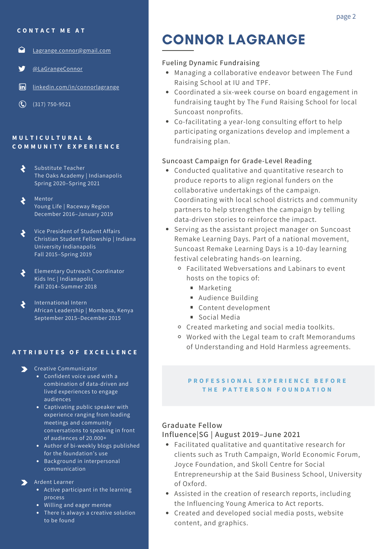**C O N T A C T M E A T**

- ◒ [Lagrange.connor@gmail.com](mailto:Lagrange.connor@gmail.com)
- [@LaGrangeConnor](https://twitter.com/LagrangeConnor)
- $\sqrt{2}$ [linkedin.com/in/connorlagrange](https://www.linkedin.com/in/connorlagrange/)
- $\bigodot$  (317) 750-9521

#### **M U L T I C U L T U R A L & C O M M U N I T Y E X P E R I E N C E**

- Substitute Teacher  $\blacklozenge$ The Oaks Academy | Indianapolis Spring 2020–Spring 2021
- Mentor Young Life | Raceway Region December 2016–January 2019
- Vice President of Student Affairs  $\blacklozenge$ Christian Student Fellowship | Indiana University Indianapolis Fall 2015–Spring 2019
- Elementary Outreach Coordinator ś Kids Inc | Indianapolis Fall 2014–Summer 2018
- International Intern  $\blacklozenge$ African Leadership | Mombasa, Kenya September 2015–December 2015

#### **A T T R I B U T E S O F E X C E L L E N C E**

- **S** Creative Communicator
	- Confident voice used with a combination of data-driven and lived experiences to engage audiences
	- Captivating public speaker with experience ranging from leading meetings and community conversations to speaking in front of audiences of 20.000+
	- Author of bi-weekly blogs published for the foundation's use
	- Background in interpersonal communication

#### Ardent Learner

- Active participant in the learning process
- Willing and eager mentee
- There is always a creative solution to be found

# CONNOR LAGRANGE

#### **Fueling Dynamic Fundraising**

- Managing a collaborative endeavor between The Fund Raising School at IU and TPF.
- Coordinated a six-week course on board engagement in fundraising taught by The Fund Raising School for local Suncoast nonprofits.
- Co-facilitating a year-long consulting effort to help participating organizations develop and implement a fundraising plan.

#### **Suncoast Campaign for Grade-Level Reading**

- Conducted qualitative and quantitative research to produce reports to align regional funders on the collaborative undertakings of the campaign. Coordinating with local school districts and community partners to help strengthen the campaign by telling data-driven stories to reinforce the impact.
- Serving as the assistant project manager on Suncoast Remake Learning Days. Part of a national movement, Suncoast Remake Learning Days is a 10-day learning festival celebrating hands-on learning.
	- Facilitated Webversations and Labinars to event hosts on the topics of:
		- **Marketing**
		- Audience Building
		- Content development
		- Social Media
	- Created marketing and social media toolkits.
	- Worked with the Legal team to craft Memorandums of Understanding and Hold Harmless agreements.

#### PROFESSIONAL EXPERIENCE BEFORE **T H E P A T T E R S O N F O U N D A T I O N**

### **Influence|SG | August 2019–June 2021 Graduate Fellow**

- Facilitated qualitative and quantitative research for clients such as Truth Campaign, World Economic Forum, Joyce Foundation, and Skoll Centre for Social Entrepreneurship at the Said Business School, University of Oxford.
- Assisted in the creation of research reports, including the Influencing Young America to Act reports.
- Created and developed social media posts, website content, and graphics.